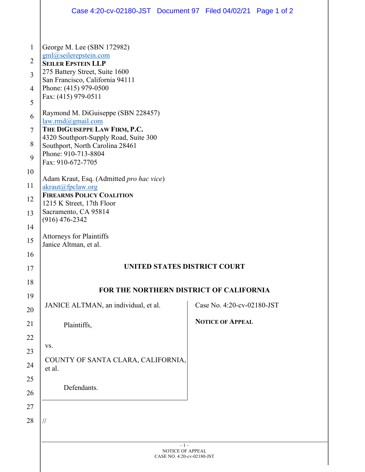|                | Case 4:20-cv-02180-JST Document 97 Filed 04/02/21 Page 1 of 2            |  |                            |  |  |
|----------------|--------------------------------------------------------------------------|--|----------------------------|--|--|
| $\mathbf{1}$   | George M. Lee (SBN 172982)                                               |  |                            |  |  |
| $\overline{2}$ | gml@seilerepstein.com                                                    |  |                            |  |  |
| 3              | <b>SEILER EPSTEIN LLP</b><br>275 Battery Street, Suite 1600              |  |                            |  |  |
| $\overline{4}$ | San Francisco, California 94111<br>Phone: (415) 979-0500                 |  |                            |  |  |
| 5              | Fax: (415) 979-0511                                                      |  |                            |  |  |
| 6              | Raymond M. DiGuiseppe (SBN 228457)<br>law.rmd@gmail.com                  |  |                            |  |  |
| $\tau$         | THE DIGUISEPPE LAW FIRM, P.C.                                            |  |                            |  |  |
| 8              | 4320 Southport-Supply Road, Suite 300<br>Southport, North Carolina 28461 |  |                            |  |  |
| 9              | Phone: 910-713-8804<br>Fax: 910-672-7705                                 |  |                            |  |  |
| 10             | Adam Kraut, Esq. (Admitted pro hac vice)                                 |  |                            |  |  |
| 11             | akraut@fpclaw.org<br><b>FIREARMS POLICY COALITION</b>                    |  |                            |  |  |
| 12             | 1215 K Street, 17th Floor                                                |  |                            |  |  |
| 13             | Sacramento, CA 95814<br>$(916)$ 476-2342                                 |  |                            |  |  |
| 14<br>15       | <b>Attorneys for Plaintiffs</b>                                          |  |                            |  |  |
| 16             | Janice Altman, et al.                                                    |  |                            |  |  |
| 17             | UNITED STATES DISTRICT COURT                                             |  |                            |  |  |
| 18             |                                                                          |  |                            |  |  |
| 19             | <b>FOR THE NORTHERN DISTRICT OF CALIFORNIA</b>                           |  |                            |  |  |
| 20             | JANICE ALTMAN, an individual, et al.                                     |  | Case No. 4:20-cv-02180-JST |  |  |
| 21             | Plaintiffs,                                                              |  | <b>NOTICE OF APPEAL</b>    |  |  |
| 22             |                                                                          |  |                            |  |  |
| 23             | VS.                                                                      |  |                            |  |  |
| 24             | COUNTY OF SANTA CLARA, CALIFORNIA,<br>et al.                             |  |                            |  |  |
| 25             | Defendants.                                                              |  |                            |  |  |
| 26             |                                                                          |  |                            |  |  |
| 27             |                                                                          |  |                            |  |  |
| 28             | $\frac{1}{2}$                                                            |  |                            |  |  |
|                | $-1-$                                                                    |  |                            |  |  |
|                | NOTICE OF APPEAL<br>CASE NO. 4:20-cv-02180-JST                           |  |                            |  |  |